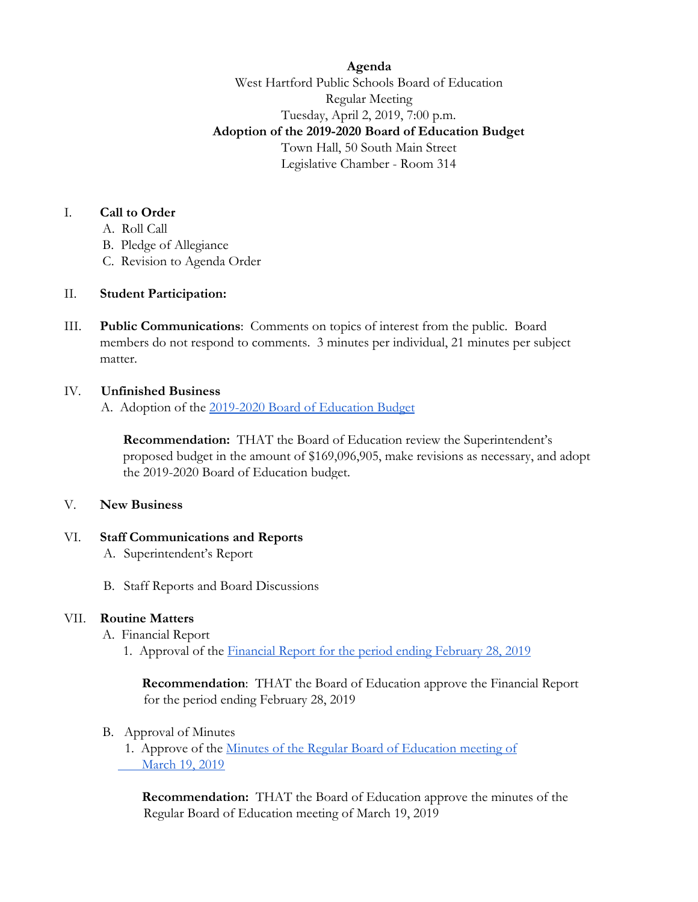**Agenda** West Hartford Public Schools Board of Education Regular Meeting Tuesday, April 2, 2019, 7:00 p.m. **Adoption of the 2019-2020 Board of Education Budget** Town Hall, 50 South Main Street Legislative Chamber - Room 314

## I. **Call to Order**

- A. Roll Call
- B. Pledge of Allegiance
- C. Revision to Agenda Order

# II. **Student Participation:**

III. **Public Communications**: Comments on topics of interest from the public. Board members do not respond to comments. 3 minutes per individual, 21 minutes per subject matter.

# IV. **Unfinished Business**

A. Adoption of the [2019-2020 Board of Education Budget](https://drive.google.com/file/d/0B0zswKjYBhO_cmlDbFo4VDVHd3dSOHhmWW9VcEJicU9xOXdR/view?usp=sharing)

**Recommendation:** THAT the Board of Education review the Superintendent's proposed budget in the amount of \$169,096,905, make revisions as necessary, and adopt the 2019-2020 Board of Education budget.

#### V. **New Business**

#### VI. **Staff Communications and Reports**

- A. Superintendent's Report
- B. Staff Reports and Board Discussions

# VII. **Routine Matters**

- A. Financial Report
	- 1. Approval of the [Financial Report for the period ending February 28, 2019](https://drive.google.com/file/d/0B0zswKjYBhO_bGZkdVF6T3AwdEo1bHRockotZ0FMVUoyb19r/view?usp=sharing)

 **Recommendation**: THAT the Board of Education approve the Financial Report for the period ending February 28, 2019

B. Approval of Minutes

1. Approve of the [Minutes of the Regular Board of Education meeting of](https://drive.google.com/file/d/12F35ZF_17igQUFAv2a0-9oLu1rhybUjy/view?usp=sharing) March 19, 2019

 **Recommendation:** THAT the Board of Education approve the minutes of the Regular Board of Education meeting of March 19, 2019